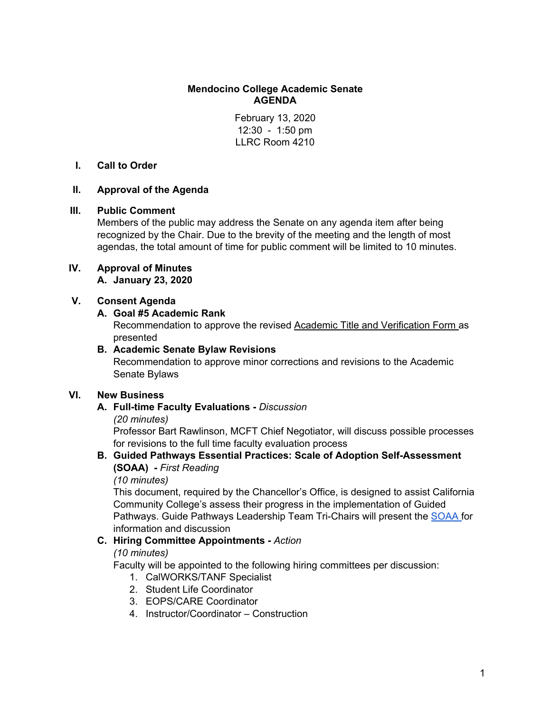# **Mendocino College Academic Senate AGENDA**

February 13, 2020 12:30 - 1:50 pm LLRC Room 4210

# **I. Call to Order**

# **II. Approval of the Agenda**

# **III. Public Comment**

Members of the public may address the Senate on any agenda item after being recognized by the Chair. Due to the brevity of the meeting and the length of most agendas, the total amount of time for public comment will be limited to 10 minutes.

# **IV. Approval of Minutes**

**A. January 23, 2020**

# **V. Consent Agenda**

# **A. Goal #5 Academic Rank**

Recommendation to approve the revised Academic Title and [Verification](https://docs.google.com/document/d/1TeEo4JtPCfxBm1jwU4xdQU4CYuUJVvKjxOsA28MQE7k/edit?usp=sharing) Form as presented

# **B. Academic Senate Bylaw Revisions**

Recommendation to approve minor corrections and revisions to the Academic Senate Bylaws

# **VI. New Business**

# **A. Full-time Faculty Evaluations -** *Discussion*

# *(20 minutes)*

Professor Bart Rawlinson, MCFT Chief Negotiator, will discuss possible processes for revisions to the full time faculty evaluation process

# **B. Guided Pathways Essential Practices: Scale of Adoption Self-Assessment (SOAA) -** *First Reading*

*(10 minutes)*

This document, required by the Chancellor's Office, is designed to assist California Community College's assess their progress in the implementation of Guided Pathways. Guide Pathways Leadership Team Tri-Chairs will present the [SOAA](https://documentcloud.adobe.com/link/track?uri=urn%3Aaaid%3Ascds%3AUS%3A92dc4ace-23f9-447a-8714-94b123944fe4) for information and discussion

# **C. Hiring Committee Appointments -** *Action*

# *(10 minutes)*

Faculty will be appointed to the following hiring committees per discussion:

- 1. CalWORKS/TANF Specialist
- 2. Student Life Coordinator
- 3. EOPS/CARE Coordinator
- 4. Instructor/Coordinator Construction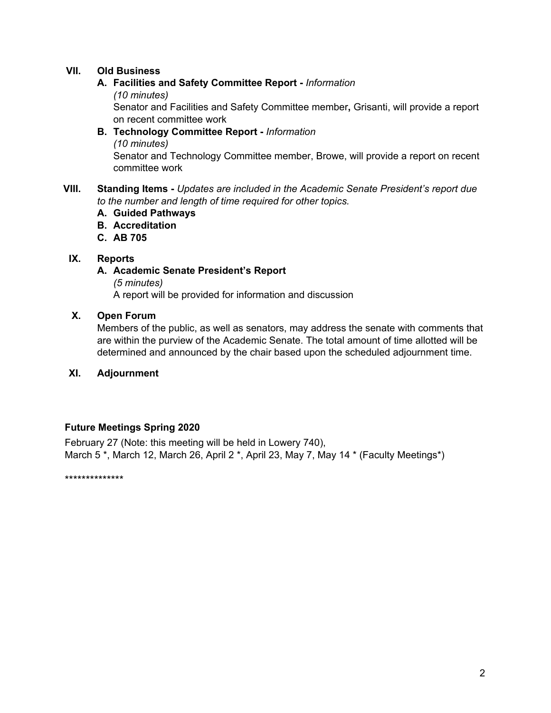# **VII. Old Business**

#### **A. Facilities and Safety Committee Report -** *Information*

*(10 minutes)*

Senator and Facilities and Safety Committee member**,** Grisanti, will provide a report on recent committee work

**B. Technology Committee Report -** *Information (10 minutes)* Senator and Technology Committee member, Browe, will provide a report on recent committee work

# **VIII. Standing Items -** *Updates are included in the Academic Senate President's report due to the number and length of time required for other topics.*

- **A. Guided Pathways**
- **B. Accreditation**
- **C. AB 705**

# **IX. Reports**

#### **A. Academic Senate President's Report**

*(5 minutes)* A report will be provided for information and discussion

#### **X. Open Forum**

Members of the public, as well as senators, may address the senate with comments that are within the purview of the Academic Senate. The total amount of time allotted will be determined and announced by the chair based upon the scheduled adjournment time.

# **XI. Adjournment**

# **Future Meetings Spring 2020**

February 27 (Note: this meeting will be held in Lowery 740), March 5<sup>\*</sup>, March 12, March 26, April 2<sup>\*</sup>, April 23, May 7, May 14<sup>\*</sup> (Faculty Meetings<sup>\*</sup>)

\*\*\*\*\*\*\*\*\*\*\*\*\*\*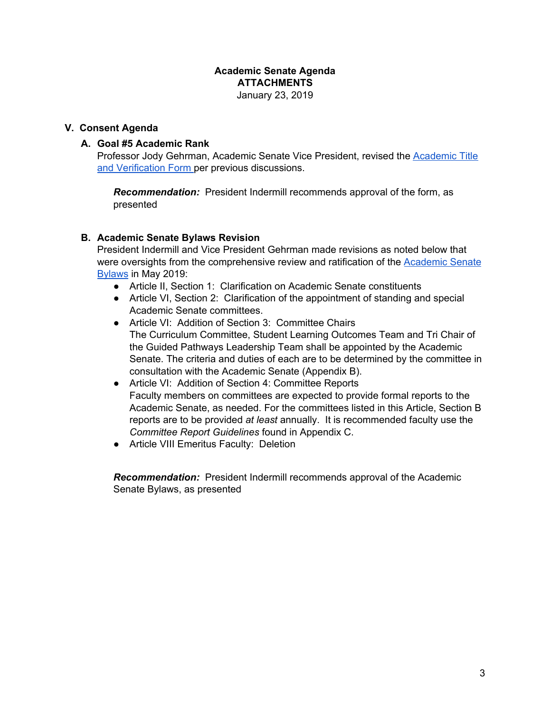#### **Academic Senate Agenda ATTACHMENTS** January 23, 2019

#### **V. Consent Agenda**

#### **A. Goal #5 Academic Rank**

Professor Jody Gehrman, Academic Senate Vice President, revised the [Academic](https://docs.google.com/document/d/1TeEo4JtPCfxBm1jwU4xdQU4CYuUJVvKjxOsA28MQE7k/edit?usp=sharing) Title and [Verification](https://docs.google.com/document/d/1TeEo4JtPCfxBm1jwU4xdQU4CYuUJVvKjxOsA28MQE7k/edit?usp=sharing) Form per previous discussions.

*Recommendation:* President Indermill recommends approval of the form, as presented

# **B. Academic Senate Bylaws Revision**

President Indermill and Vice President Gehrman made revisions as noted below that were oversights from the comprehensive review and ratification of the [Academic](https://documentcloud.adobe.com/link/track?uri=urn%3Aaaid%3Ascds%3AUS%3A5db725c6-8817-4e5b-a7b9-8c5540ddd6fa) Senate [Bylaws](https://documentcloud.adobe.com/link/track?uri=urn%3Aaaid%3Ascds%3AUS%3A5db725c6-8817-4e5b-a7b9-8c5540ddd6fa) in May 2019:

- Article II, Section 1: Clarification on Academic Senate constituents
- Article VI, Section 2: Clarification of the appointment of standing and special Academic Senate committees.
- Article VI: Addition of Section 3: Committee Chairs The Curriculum Committee, Student Learning Outcomes Team and Tri Chair of the Guided Pathways Leadership Team shall be appointed by the Academic Senate. The criteria and duties of each are to be determined by the committee in consultation with the Academic Senate (Appendix B).
- Article VI: Addition of Section 4: Committee Reports Faculty members on committees are expected to provide formal reports to the Academic Senate, as needed. For the committees listed in this Article, Section B reports are to be provided *at least* annually. It is recommended faculty use the *Committee Report Guidelines* found in Appendix C.
- Article VIII Emeritus Faculty: Deletion

*Recommendation:* President Indermill recommends approval of the Academic Senate Bylaws, as presented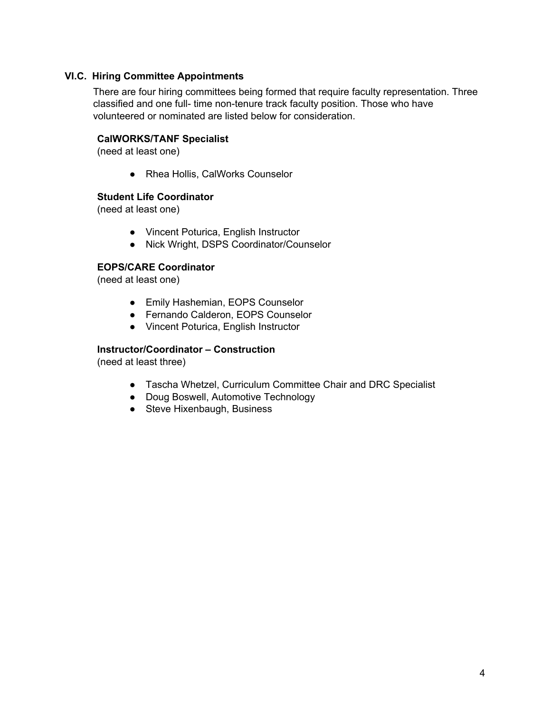# **VI.C. Hiring Committee Appointments**

There are four hiring committees being formed that require faculty representation. Three classified and one full- time non-tenure track faculty position. Those who have volunteered or nominated are listed below for consideration.

# **CalWORKS/TANF Specialist**

(need at least one)

● Rhea Hollis, CalWorks Counselor

# **Student Life Coordinator**

(need at least one)

- Vincent Poturica, English Instructor
- Nick Wright, DSPS Coordinator/Counselor

# **EOPS/CARE Coordinator**

(need at least one)

- Emily Hashemian, EOPS Counselor
- Fernando Calderon, EOPS Counselor
- Vincent Poturica, English Instructor

# **Instructor/Coordinator – Construction**

(need at least three)

- Tascha Whetzel, Curriculum Committee Chair and DRC Specialist
- Doug Boswell, Automotive Technology
- Steve Hixenbaugh, Business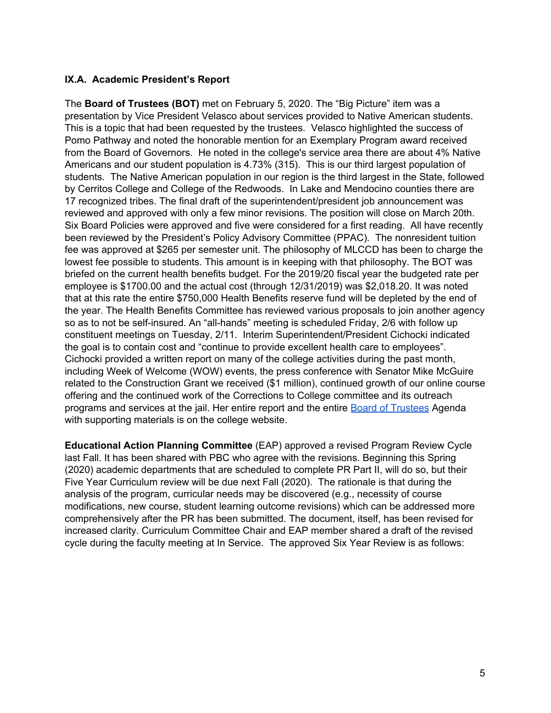# **IX.A. Academic President's Report**

The **Board of Trustees (BOT)** met on February 5, 2020. The "Big Picture" item was a presentation by Vice President Velasco about services provided to Native American students. This is a topic that had been requested by the trustees. Velasco highlighted the success of Pomo Pathway and noted the honorable mention for an Exemplary Program award received from the Board of Governors. He noted in the college's service area there are about 4% Native Americans and our student population is 4.73% (315). This is our third largest population of students. The Native American population in our region is the third largest in the State, followed by Cerritos College and College of the Redwoods. In Lake and Mendocino counties there are 17 recognized tribes. The final draft of the superintendent/president job announcement was reviewed and approved with only a few minor revisions. The position will close on March 20th. Six Board Policies were approved and five were considered for a first reading. All have recently been reviewed by the President's Policy Advisory Committee (PPAC). The nonresident tuition fee was approved at \$265 per semester unit. The philosophy of MLCCD has been to charge the lowest fee possible to students. This amount is in keeping with that philosophy. The BOT was briefed on the current health benefits budget. For the 2019/20 fiscal year the budgeted rate per employee is \$1700.00 and the actual cost (through 12/31/2019) was \$2,018.20. It was noted that at this rate the entire \$750,000 Health Benefits reserve fund will be depleted by the end of the year. The Health Benefits Committee has reviewed various proposals to join another agency so as to not be self-insured. An "all-hands" meeting is scheduled Friday, 2/6 with follow up constituent meetings on Tuesday, 2/11. Interim Superintendent/President Cichocki indicated the goal is to contain cost and "continue to provide excellent health care to employees". Cichocki provided a written report on many of the college activities during the past month, including Week of Welcome (WOW) events, the press conference with Senator Mike McGuire related to the Construction Grant we received (\$1 million), continued growth of our online course offering and the continued work of the Corrections to College committee and its outreach programs and services at the jail. Her entire report and the entire Board of [Trustees](https://www.mendocino.edu/college/board-trustees/board-trustees-agendas-and-minutes) Agenda with supporting materials is on the college website.

**Educational Action Planning Committee** (EAP) approved a revised Program Review Cycle last Fall. It has been shared with PBC who agree with the revisions. Beginning this Spring (2020) academic departments that are scheduled to complete PR Part II, will do so, but their Five Year Curriculum review will be due next Fall (2020). The rationale is that during the analysis of the program, curricular needs may be discovered (e.g., necessity of course modifications, new course, student learning outcome revisions) which can be addressed more comprehensively after the PR has been submitted. The document, itself, has been revised for increased clarity. Curriculum Committee Chair and EAP member shared a draft of the revised cycle during the faculty meeting at In Service. The approved Six Year Review is as follows: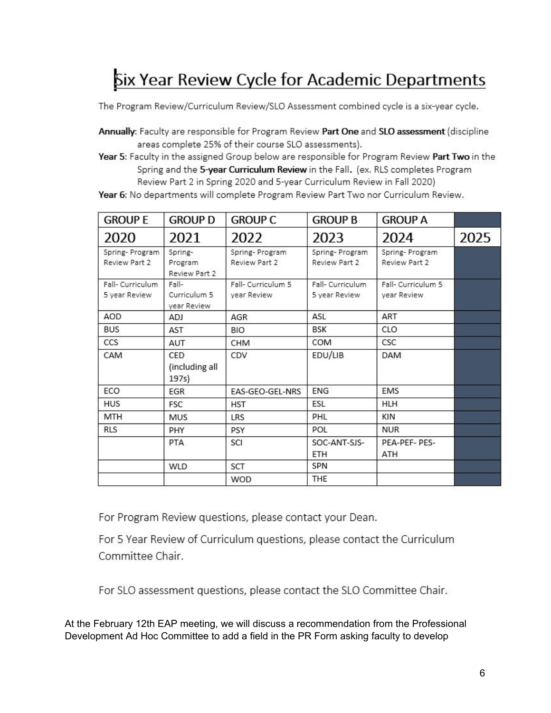# Six Year Review Cycle for Academic Departments

The Program Review/Curriculum Review/SLO Assessment combined cycle is a six-year cycle.

Annually: Faculty are responsible for Program Review Part One and SLO assessment (discipline areas complete 25% of their course SLO assessments).

Year 5: Faculty in the assigned Group below are responsible for Program Review Part Two in the Spring and the 5-year Curriculum Review in the Fall. (ex. RLS completes Program Review Part 2 in Spring 2020 and 5-year Curriculum Review in Fall 2020)

Year 6: No departments will complete Program Review Part Two nor Curriculum Review.

| <b>GROUP E</b>                    | <b>GROUP D</b>                       | <b>GROUP C</b>                    | <b>GROUP B</b>                    | <b>GROUP A</b>                    |      |
|-----------------------------------|--------------------------------------|-----------------------------------|-----------------------------------|-----------------------------------|------|
| 2020                              | 2021                                 | 2022                              | 2023                              | 2024                              | 2025 |
| Spring-Program<br>Review Part 2   | Spring-<br>Program<br>Review Part 2  | Spring-Program<br>Review Part 2   | Spring-Program<br>Review Part 2   | Spring-Program<br>Review Part 2   |      |
| Fall- Curriculum<br>5 year Review | Fall-<br>Curriculum 5<br>vear Review | Fall- Curriculum 5<br>year Review | Fall- Curriculum<br>5 year Review | Fall- Curriculum 5<br>year Review |      |
| AOD                               | ADJ                                  | AGR                               | ASL                               | ART                               |      |
| <b>BUS</b>                        | AST                                  | <b>BIO</b>                        | <b>BSK</b>                        | <b>CLO</b>                        |      |
| CCS                               | <b>AUT</b>                           | CHM                               | COM                               | CSC                               |      |
| CAM                               | CED<br>(including all<br>197s)       | CDV                               | EDU/LIB                           | <b>DAM</b>                        |      |
| ECO                               | <b>EGR</b>                           | EAS-GEO-GEL-NRS                   | <b>ENG</b>                        | <b>EMS</b>                        |      |
| <b>HUS</b>                        | <b>FSC</b>                           | <b>HST</b>                        | ESL                               | <b>HLH</b>                        |      |
| <b>MTH</b>                        | <b>MUS</b>                           | LRS                               | PHL                               | KIN                               |      |
| <b>RLS</b>                        | PHY                                  | PSY                               | POL                               | <b>NUR</b>                        |      |
|                                   | PTA                                  | SCI                               | SOC-ANT-SJS-<br>ETH               | PEA-PEF- PES-<br><b>ATH</b>       |      |
|                                   | <b>WLD</b>                           | SCT                               | SPN                               |                                   |      |
|                                   |                                      | <b>WOD</b>                        | THE                               |                                   |      |

For Program Review questions, please contact your Dean.

For 5 Year Review of Curriculum questions, please contact the Curriculum Committee Chair.

For SLO assessment questions, please contact the SLO Committee Chair.

At the February 12th EAP meeting, we will discuss a recommendation from the Professional Development Ad Hoc Committee to add a field in the PR Form asking faculty to develop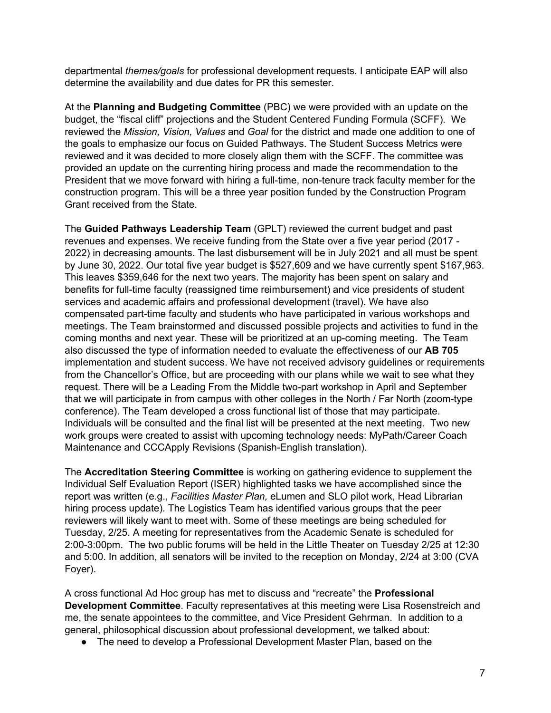departmental *themes/goals* for professional development requests. I anticipate EAP will also determine the availability and due dates for PR this semester.

At the **Planning and Budgeting Committee** (PBC) we were provided with an update on the budget, the "fiscal cliff" projections and the Student Centered Funding Formula (SCFF). We reviewed the *Mission, Vision, Values* and *Goal* for the district and made one addition to one of the goals to emphasize our focus on Guided Pathways. The Student Success Metrics were reviewed and it was decided to more closely align them with the SCFF. The committee was provided an update on the currenting hiring process and made the recommendation to the President that we move forward with hiring a full-time, non-tenure track faculty member for the construction program. This will be a three year position funded by the Construction Program Grant received from the State.

The **Guided Pathways Leadership Team** (GPLT) reviewed the current budget and past revenues and expenses. We receive funding from the State over a five year period (2017 - 2022) in decreasing amounts. The last disbursement will be in July 2021 and all must be spent by June 30, 2022. Our total five year budget is \$527,609 and we have currently spent \$167,963. This leaves \$359,646 for the next two years. The majority has been spent on salary and benefits for full-time faculty (reassigned time reimbursement) and vice presidents of student services and academic affairs and professional development (travel). We have also compensated part-time faculty and students who have participated in various workshops and meetings. The Team brainstormed and discussed possible projects and activities to fund in the coming months and next year. These will be prioritized at an up-coming meeting. The Team also discussed the type of information needed to evaluate the effectiveness of our **AB 705** implementation and student success. We have not received advisory guidelines or requirements from the Chancellor's Office, but are proceeding with our plans while we wait to see what they request. There will be a Leading From the Middle two-part workshop in April and September that we will participate in from campus with other colleges in the North / Far North (zoom-type conference). The Team developed a cross functional list of those that may participate. Individuals will be consulted and the final list will be presented at the next meeting. Two new work groups were created to assist with upcoming technology needs: MyPath/Career Coach Maintenance and CCCApply Revisions (Spanish-English translation).

The **Accreditation Steering Committee** is working on gathering evidence to supplement the Individual Self Evaluation Report (ISER) highlighted tasks we have accomplished since the report was written (e.g., *Facilities Master Plan,* eLumen and SLO pilot work, Head Librarian hiring process update)*.* The Logistics Team has identified various groups that the peer reviewers will likely want to meet with. Some of these meetings are being scheduled for Tuesday, 2/25. A meeting for representatives from the Academic Senate is scheduled for 2:00-3:00pm. The two public forums will be held in the Little Theater on Tuesday 2/25 at 12:30 and 5:00. In addition, all senators will be invited to the reception on Monday, 2/24 at 3:00 (CVA Foyer).

A cross functional Ad Hoc group has met to discuss and "recreate" the **Professional Development Committee**. Faculty representatives at this meeting were Lisa Rosenstreich and me, the senate appointees to the committee, and Vice President Gehrman. In addition to a general, philosophical discussion about professional development, we talked about:

• The need to develop a Professional Development Master Plan, based on the